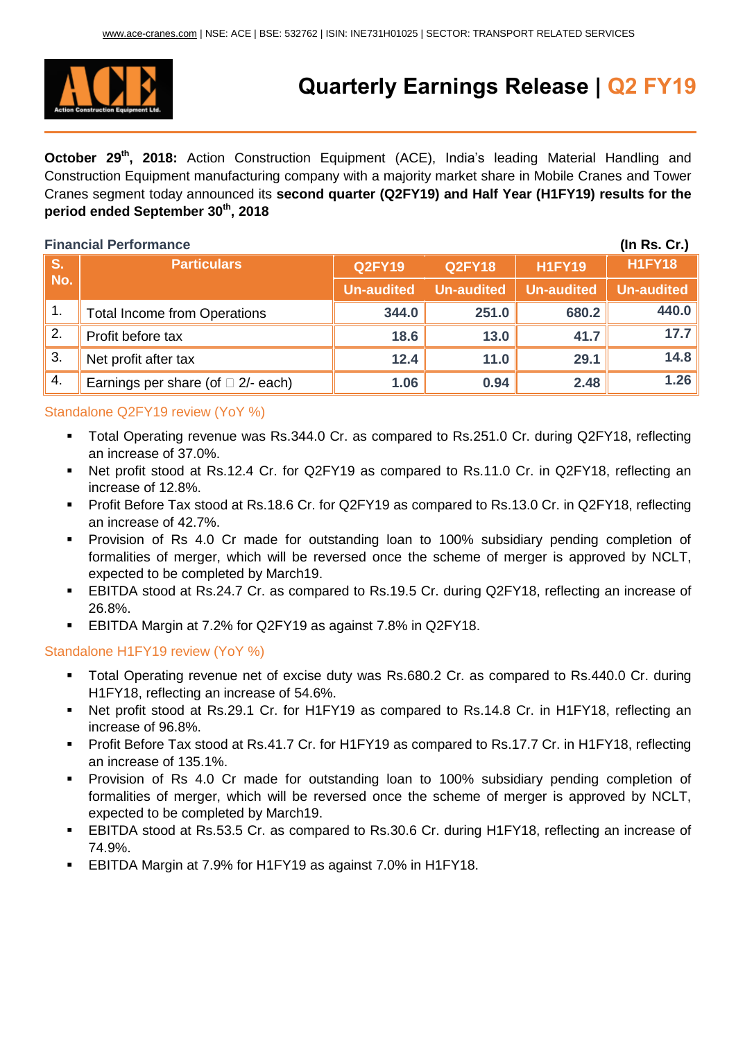

# **Quarterly Earnings Release | Q2 FY19**

**October 29th, 2018:** Action Construction Equipment (ACE), India's leading Material Handling and Construction Equipment manufacturing company with a majority market share in Mobile Cranes and Tower Cranes segment today announced its **second quarter (Q2FY19) and Half Year (H1FY19) results for the period ended September 30 th, 2018**

| <b>Financial Performance</b><br>$($ In Rs. Cr. $)$ |                                         |                   |                   |                   |                   |  |
|----------------------------------------------------|-----------------------------------------|-------------------|-------------------|-------------------|-------------------|--|
| S.<br>No.                                          | <b>Particulars</b>                      | <b>Q2FY19</b>     | <b>Q2FY18</b>     | <b>H1FY19</b>     | <b>H1FY18</b>     |  |
|                                                    |                                         | <b>Un-audited</b> | <b>Un-audited</b> | <b>Un-audited</b> | <b>Un-audited</b> |  |
| $\mathbf 1$ .                                      | <b>Total Income from Operations</b>     | 344.0             | 251.0             | 680.2             | 440.0             |  |
| 2.                                                 | Profit before tax                       | 18.6              | 13.0              | 41.7              | 17.7              |  |
| 3.                                                 | Net profit after tax                    | 12.4              | 11.0              | 29.1              | 14.8              |  |
| 4.                                                 | Earnings per share (of $\Box$ 2/- each) | 1.06              | 0.94              | 2.48              | 1.26              |  |

# Standalone Q2FY19 review (YoY %)

- Total Operating revenue was Rs.344.0 Cr. as compared to Rs.251.0 Cr. during Q2FY18, reflecting an increase of 37.0%.
- Net profit stood at Rs.12.4 Cr. for Q2FY19 as compared to Rs.11.0 Cr. in Q2FY18, reflecting an increase of 12.8%.
- Profit Before Tax stood at Rs.18.6 Cr. for Q2FY19 as compared to Rs.13.0 Cr. in Q2FY18, reflecting an increase of 42.7%.
- Provision of Rs 4.0 Cr made for outstanding loan to 100% subsidiary pending completion of formalities of merger, which will be reversed once the scheme of merger is approved by NCLT, expected to be completed by March19.
- EBITDA stood at Rs.24.7 Cr. as compared to Rs.19.5 Cr. during Q2FY18, reflecting an increase of 26.8%.
- EBITDA Margin at 7.2% for Q2FY19 as against 7.8% in Q2FY18.

### Standalone H1FY19 review (YoY %)

- Total Operating revenue net of excise duty was Rs.680.2 Cr. as compared to Rs.440.0 Cr. during H1FY18, reflecting an increase of 54.6%.
- Net profit stood at Rs.29.1 Cr. for H1FY19 as compared to Rs.14.8 Cr. in H1FY18, reflecting an increase of 96.8%.
- **Profit Before Tax stood at Rs.41.7 Cr. for H1FY19 as compared to Rs.17.7 Cr. in H1FY18, reflecting** an increase of 135.1%.
- Provision of Rs 4.0 Cr made for outstanding loan to 100% subsidiary pending completion of formalities of merger, which will be reversed once the scheme of merger is approved by NCLT, expected to be completed by March19.
- EBITDA stood at Rs.53.5 Cr. as compared to Rs.30.6 Cr. during H1FY18, reflecting an increase of 74.9%.
- EBITDA Margin at 7.9% for H1FY19 as against 7.0% in H1FY18.